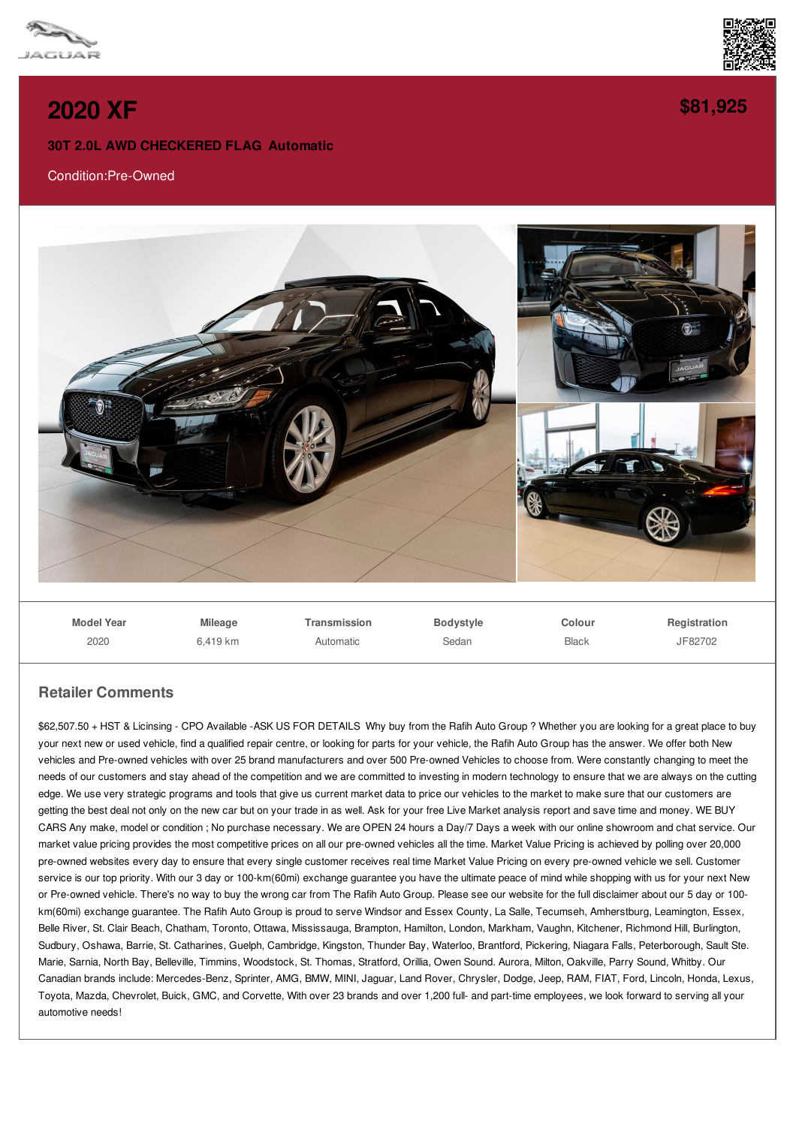



## **[2020](/used-certified/pdf/) XF**

## **30T 2.0L AWD CHECKERED FLAG Automatic**

## Condition:Pre-Owned



| <b>Model Year</b> | <b>Mileage</b> | Transmission | <b>Bodystyle</b> | Colour       | Registration |
|-------------------|----------------|--------------|------------------|--------------|--------------|
| 2020              | 6.419 km       | Automatic    | Sedan            | <b>Black</b> | JF82702      |

## **Retailer Comments**

\$62,507.50 + HST & Licinsing - CPO Available -ASK US FOR DETAILS Why buy from the Rafih Auto Group ? Whether you are looking for a great place to buy your next new or used vehicle, find a qualified repair centre, or looking for parts for your vehicle, the Rafih Auto Group has the answer. We offer both New vehicles and Pre-owned vehicles with over 25 brand manufacturers and over 500 Pre-owned Vehicles to choose from. Were constantly changing to meet the needs of our customers and stay ahead of the competition and we are committed to investing in modern technology to ensure that we are always on the cutting edge. We use very strategic programs and tools that give us current market data to price our vehicles to the market to make sure that our customers are getting the best deal not only on the new car but on your trade in as well. Ask for your free Live Market analysis report and save time and money. WE BUY CARS Any make, model or condition ; No purchase necessary. We are OPEN 24 hours a Day/7 Days a week with our online showroom and chat service. Our market value pricing provides the most competitive prices on all our pre-owned vehicles all the time. Market Value Pricing is achieved by polling over 20,000 pre-owned websites every day to ensure that every single customer receives real time Market Value Pricing on every pre-owned vehicle we sell. Customer service is our top priority. With our 3 day or 100-km(60mi) exchange guarantee you have the ultimate peace of mind while shopping with us for your next New or Pre-owned vehicle. There's no way to buy the wrong car from The Rafih Auto Group. Please see our website for the full disclaimer about our 5 day or 100 km(60mi) exchange guarantee. The Rafih Auto Group is proud to serve Windsor and Essex County, La Salle, Tecumseh, Amherstburg, Leamington, Essex, Belle River, St. Clair Beach, Chatham, Toronto, Ottawa, Mississauga, Brampton, Hamilton, London, Markham, Vaughn, Kitchener, Richmond Hill, Burlington, Sudbury, Oshawa, Barrie, St. Catharines, Guelph, Cambridge, Kingston, Thunder Bay, Waterloo, Brantford, Pickering, Niagara Falls, Peterborough, Sault Ste. Marie, Sarnia, North Bay, Belleville, Timmins, Woodstock, St. Thomas, Stratford, Orillia, Owen Sound. Aurora, Milton, Oakville, Parry Sound, Whitby. Our Canadian brands include: Mercedes-Benz, Sprinter, AMG, BMW, MINI, Jaguar, Land Rover, Chrysler, Dodge, Jeep, RAM, FIAT, Ford, Lincoln, Honda, Lexus, Toyota, Mazda, Chevrolet, Buick, GMC, and Corvette, With over 23 brands and over 1,200 full- and part-time employees, we look forward to serving all your automotive needs!

**[\\$81,925](/used-certified/pdf/)**